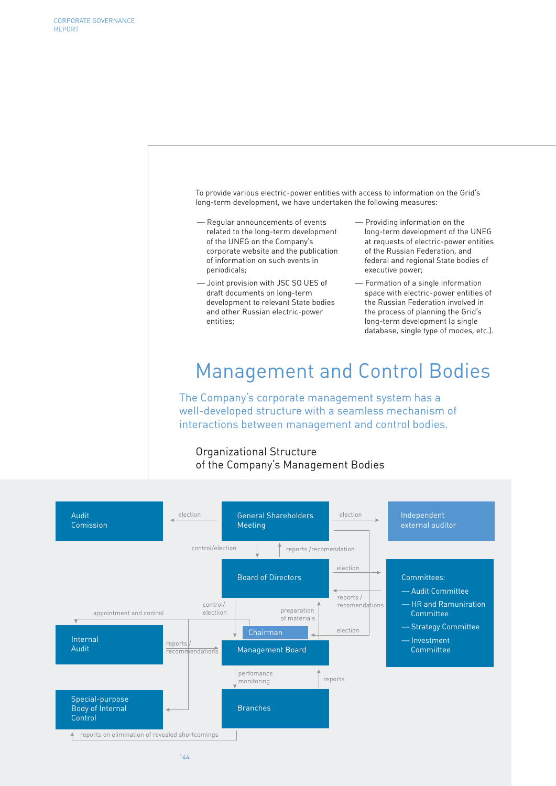The Company's corporate management system has a well-developed structure with a seamless mechanism of interactions between management and control bodies. Management and Control Bodies — Regular announcements of events related to the long-term development of the UNEG on the Company's corporate website and the publication of information on such events in periodicals; — Joint provision with JSC SO UES of draft documents on long-term development to relevant State bodies and other Russian electric-power entities; — Providing information on the long-term development of the UNEG at requests of electric-power entities of the Russian Federation, and federal and regional State bodies of executive power; — Formation of a single information space with electric-power entities of the Russian Federation involved in the process of planning the Grid's long-term development (a single database, single type of modes, etc.). To provide various electric-power entities with access to information on the Grid's long-term development, we have undertaken the following measures: Organizational Structure of the Company's Management Bodies

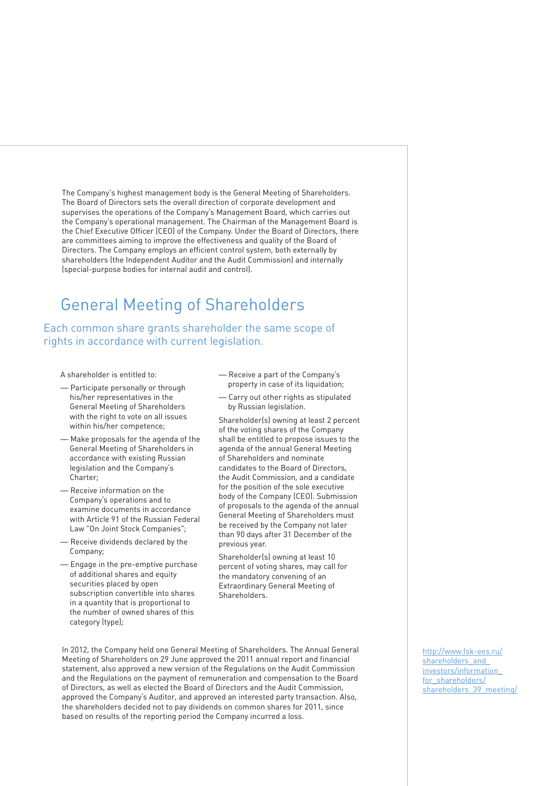The Company's highest management body is the General Meeting of Shareholders. The Board of Directors sets the overall direction of corporate development and supervises the operations of the Company's Management Board, which carries out the Company's operational management. The Chairman of the Management Board is the Chief Executive Officer (CEO) of the Company. Under the Board of Directors, there are committees aiming to improve the effectiveness and quality of the Board of Directors. The Company employs an efficient control system, both externally by shareholders (the Independent Auditor and the Audit Commission) and internally (special-purpose bodies for internal audit and control).

# General Meeting of Shareholders

Each common share grants shareholder the same scope of rights in accordance with current legislation.

A shareholder is entitled to:

- Participate personally or through his/her representatives in the General Meeting of Shareholders with the right to vote on all issues within his/her competence;
- Make proposals for the agenda of the General Meeting of Shareholders in accordance with existing Russian legislation and the Company's Charter;
- Receive information on the Company's operations and to examine documents in accordance with Article 91 of the Russian Federal Law "On Joint Stock Companies";
- Receive dividends declared by the Company;
- Engage in the pre-emptive purchase of additional shares and equity securities placed by open subscription convertible into shares in a quantity that is proportional to the number of owned shares of this category (type);
- Receive a part of the Company's property in case of its liquidation;
- Carry out other rights as stipulated by Russian legislation.

Shareholder(s) owning at least 2 percent of the voting shares of the Company shall be entitled to propose issues to the agenda of the annual General Meeting of Shareholders and nominate candidates to the Board of Directors, the Audit Commission, and a candidate for the position of the sole executive body of the Company (CEO). Submission of proposals to the agenda of the annual General Meeting of Shareholders must be received by the Company not later than 90 days after 31 December of the previous year.

Shareholder(s) owning at least 10 percent of voting shares, may call for the mandatory convening of an Extraordinary General Meeting of Shareholders.

In 2012, the Company held one General Meeting of Shareholders. The Annual General Meeting of Shareholders on 29 June approved the 2011 annual report and financial statement, also approved a new version of the Regulations on the Audit Commission and the Regulations on the payment of remuneration and compensation to the Board of Directors, as well as elected the Board of Directors and the Audit Commission, approved the Company's Auditor, and approved an interested party transaction. Also, the shareholders decided not to pay dividends on common shares for 2011, since based on results of the reporting period the Company incurred a loss.

http://www.fsk-ees.ru/ shareholders\_and investors/information\_ for shareholders/ shareholders 39 meeting/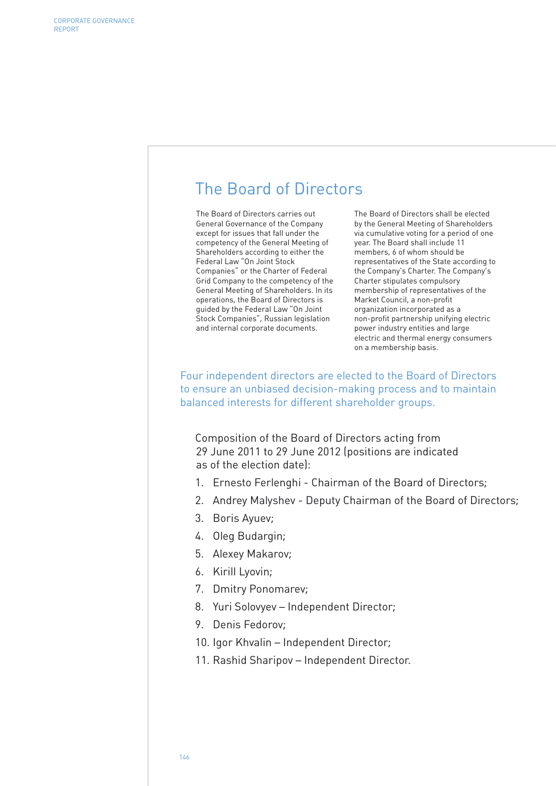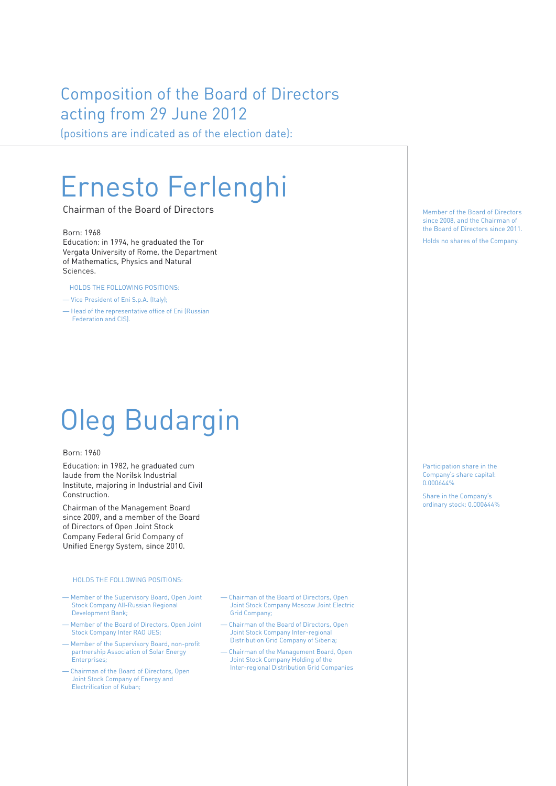# Composition of the Board of Directors acting from 29 June 2012

(positions are indicated as of the election date):

# Ernesto Ferlenghi

Chairman of the Board of Directors and the South of Directors Member of the Board of Directors

## Born: 1968

Education: in 1994, he graduated the Tor Vergata University of Rome, the Department of Mathematics, Physics and Natural Sciences.

HOLDS THE FOLLOWING POSITIONS:

- Vice President of Eni S.p.A. (Italy);
- Head of the representative office of Eni (Russian Federation and CIS).

# Oleg Budargin

### Born: 1960

Education: in 1982, he graduated cum laude from the Norilsk Industrial Institute, majoring in Industrial and Civil Construction.

Chairman of the Management Board since 2009, and a member of the Board of Directors of Open Joint Stock Company Federal Grid Company of Unified Energy System, since 2010.

### HOLDS THE FOLLOWING POSITIONS:

- Member of the Supervisory Board, Open Joint Stock Company All-Russian Regional Development Bank;
- Member of the Board of Directors, Open Joint Stock Company Inter RAO UES;
- Member of the Supervisory Board, non-profit partnership Association of Solar Energy Enterprises;
- Chairman of the Board of Directors, Open Joint Stock Company of Energy and Electrification of Kuban;
- Chairman of the Board of Directors, Open Joint Stock Company Moscow Joint Electric Grid Company;
- Chairman of the Board of Directors, Open Joint Stock Company Inter-regional Distribution Grid Company of Siberia;
- Chairman of the Management Board, Open Joint Stock Company Holding of the Inter-regional Distribution Grid Companies

since 2008, and the Chairman of the Board of Directors since 2011.

Holds no shares of the Company.

Participation share in the Company's share capital: 0.000644%

Share in the Company's ordinary stock: 0.000644%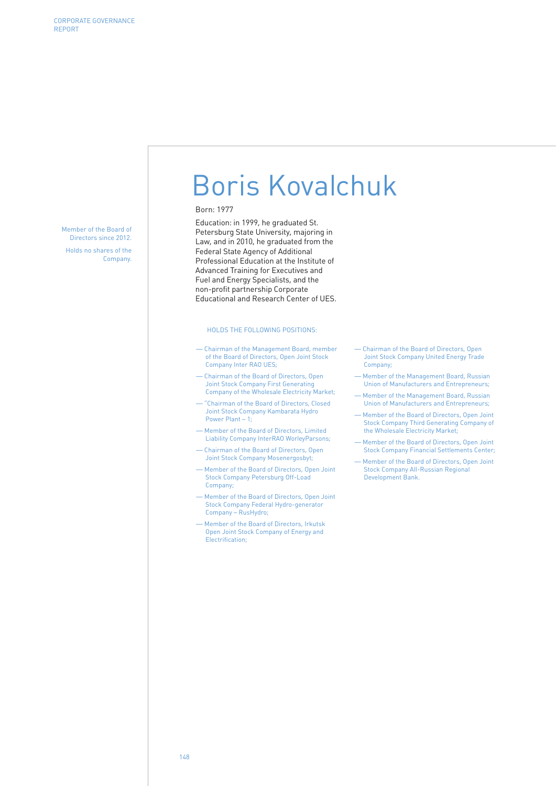Member of the Board of Directors since 2012. Holds no shares of the Company.

# Boris Kovalchuk

#### Born: 1977

Education: in 1999, he graduated St. Petersburg State University, majoring in Law, and in 2010, he graduated from the Federal State Agency of Additional Professional Education at the Institute of Advanced Training for Executives and Fuel and Energy Specialists, and the non-profit partnership Corporate Educational and Research Center of UES.

#### HOLDS THE FOLLOWING POSITIONS:

- Chairman of the Management Board, member of the Board of Directors, Open Joint Stock Company Inter RAO UES;
- Chairman of the Board of Directors, Open Joint Stock Company First Generating Company of the Wholesale Electricity Market;
- "Chairman of the Board of Directors, Closed Joint Stock Company Kambarata Hydro Power Plant – 1;
- Member of the Board of Directors, Limited Liability Company InterRAO WorleyParsons;
- Chairman of the Board of Directors, Open Joint Stock Company Mosenergosbyt;
- Member of the Board of Directors, Open Joint Stock Company Petersburg Off-Load Company;
- Member of the Board of Directors, Open Joint Stock Company Federal Hydro-generator Company – RusHydro;
- Member of the Board of Directors, Irkutsk Open Joint Stock Company of Energy and Electrification;
- Chairman of the Board of Directors, Open Joint Stock Company United Energy Trade Company;
- Member of the Management Board, Russian Union of Manufacturers and Entrepreneurs;
- Member of the Management Board, Russian Union of Manufacturers and Entrepreneurs;
- Member of the Board of Directors, Open Joint Stock Company Third Generating Company of the Wholesale Electricity Market;
- Member of the Board of Directors, Open Joint Stock Company Financial Settlements Center;
- Member of the Board of Directors, Open Joint Stock Company All-Russian Regional Development Bank.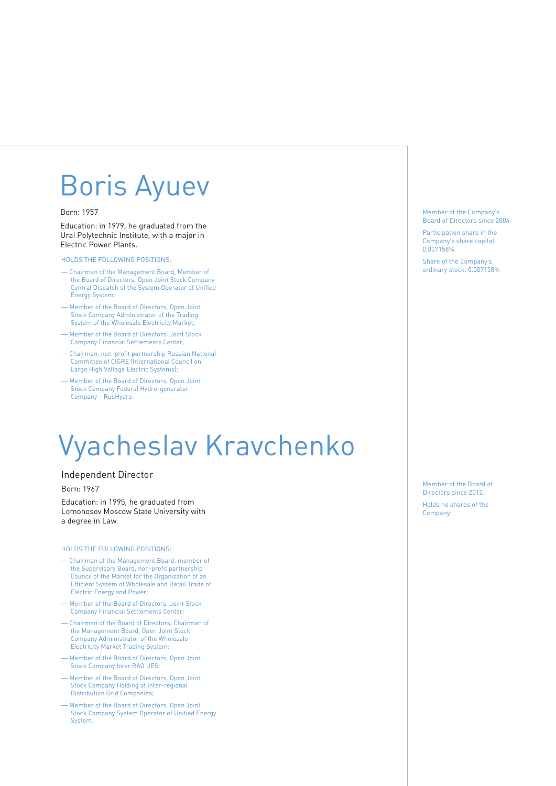# Boris Ayuev

### Born: 1957

Education: in 1979, he graduated from the Ural Polytechnic Institute, with a major in Electric Power Plants.

HOLDS THE FOLLOWING POSITIONS:

- Chairman of the Management Board, Member of the Board of Directors, Open Joint Stock Company Central Dispatch of the System Operator of Unified Energy System;
- Member of the Board of Directors, Open Joint Stock Company Administrator of the Trading System of the Wholesale Electricity Market;
- Member of the Board of Directors, Joint Stock Company Financial Settlements Center;
- Chairman, non-profit partnership Russian National Committee of CIGRE (International Council on Large High Voltage Electric Systems);
- Member of the Board of Directors, Open Joint Stock Company Federal Hydro-generator Company – RusHydro.

# Vyacheslav Kravchenko

### Independent Director Born: 1967

Education: in 1995, he graduated from Lomonosov Moscow State University with a degree in Law.

#### HOLDS THE FOLLOWING POSITIONS:

- Chairman of the Management Board, member of the Supervisory Board, non-profit partnership Council of the Market for the Organization of an Efficient System of Wholesale and Retail Trade of Electric Energy and Power;
- Member of the Board of Directors, Joint Stock Company Financial Settlements Center;
- Chairman of the Board of Directors, Chairman of the Management Board, Open Joint Stock Company Administrator of the Wholesale Electricity Market Trading System;
- Member of the Board of Directors, Open Joint Stock Company Inter RAO UES;
- Member of the Board of Directors, Open Joint Stock Company Holding of Inter-regional Distribution Grid Companies;
- Member of the Board of Directors, Open Joint Stock Company System Operator of Unified Energy System.

Member of the Company's Board of Directors since 2004

Participation share in the Company's share capital: 0.007158%

Share of the Company's ordinary stock: 0.007158%

Member of the Board of Directors since 2012. Holds no shares of the Company.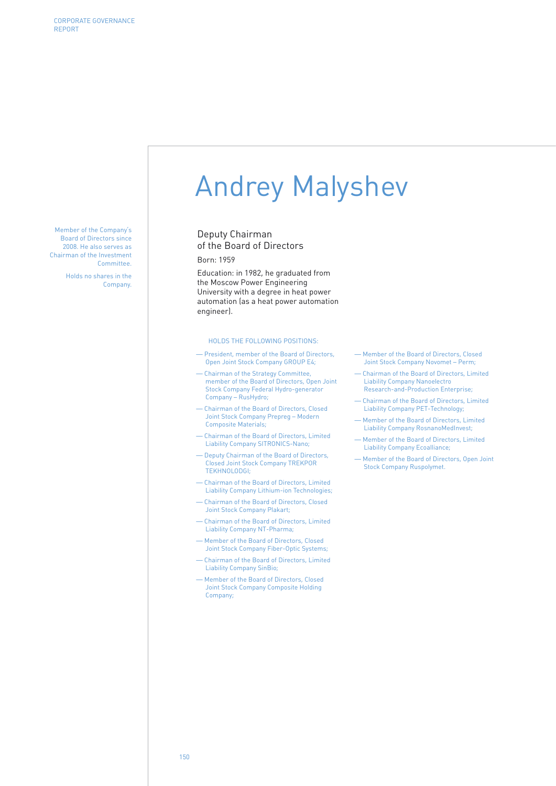Member of the Company's Board of Directors since 2008. He also serves as Chairman of the Investment **Committee** 

Holds no shares in the Company.

# Andrey Malyshev

Deputy Chairman of the Board of Directors Born: 1959

Education: in 1982, he graduated from the Moscow Power Engineering University with a degree in heat power automation (as a heat power automation engineer).

#### HOLDS THE FOLLOWING POSITIONS:

- President, member of the Board of Directors, Open Joint Stock Company GROUP E4;
- Chairman of the Strategy Committee, member of the Board of Directors, Open Joint Stock Company Federal Hydro-generator Company – RusHydro;
- Chairman of the Board of Directors, Closed Joint Stock Company Prepreg – Modern Composite Materials;
- Chairman of the Board of Directors, Limited Liability Company SITRONICS-Nano;
- Deputy Chairman of the Board of Directors, Closed Joint Stock Company TREKPOR TEKHNOLODGI;
- Chairman of the Board of Directors, Limited Liability Company Lithium-ion Technologies;
- Chairman of the Board of Directors, Closed Joint Stock Company Plakart;
- Chairman of the Board of Directors, Limited Liability Company NT-Pharma;
- Member of the Board of Directors, Closed Joint Stock Company Fiber-Optic Systems;
- Chairman of the Board of Directors, Limited Liability Company SinBio;
- Member of the Board of Directors, Closed Joint Stock Company Composite Holding Company;
- Member of the Board of Directors, Closed Joint Stock Company Novomet – Perm;
- Chairman of the Board of Directors, Limited Liability Company Nanoelectro Research-and-Production Enterprise;
- Chairman of the Board of Directors, Limited Liability Company PET-Technology;
- Member of the Board of Directors, Limited Liability Company RosnanoMedInvest;
- Member of the Board of Directors, Limited Liability Company Ecoalliance;
- Member of the Board of Directors, Open Joint Stock Company Ruspolymet.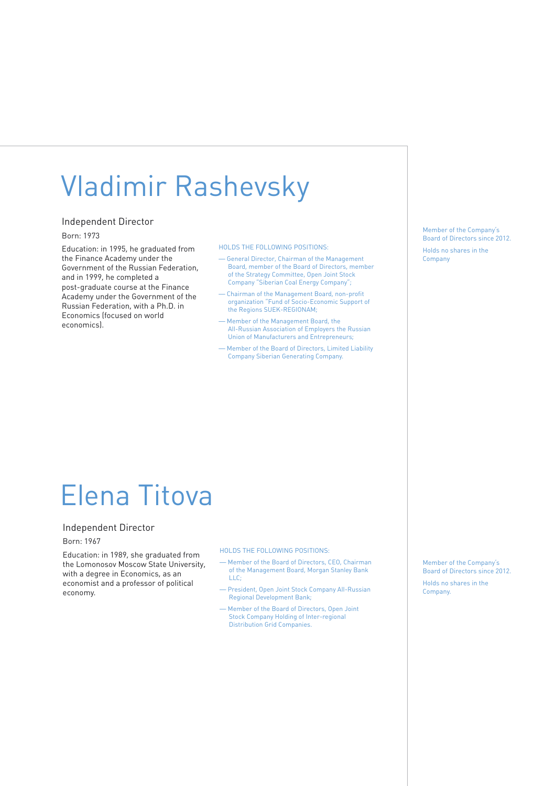# Vladimir Rashevsky

## Independent Director

#### Born: 1973

Education: in 1995, he graduated from the Finance Academy under the Government of the Russian Federation, and in 1999, he completed a post-graduate course at the Finance Academy under the Government of the Russian Federation, with a Ph.D. in Economics (focused on world economics).

#### HOLDS THE FOLLOWING POSITIONS:

- General Director, Chairman of the Management Board, member of the Board of Directors, member of the Strategy Committee, Open Joint Stock Company "Siberian Coal Energy Company";
- Chairman of the Management Board, non-profit organization "Fund of Socio-Economic Support of the Regions SUEK-REGIONAM;
- Member of the Management Board, the All-Russian Association of Employers the Russian Union of Manufacturers and Entrepreneurs;
- Member of the Board of Directors, Limited Liability Company Siberian Generating Company.

# Elena Titova

### Independent Director

### Born: 1967

Education: in 1989, she graduated from the Lomonosov Moscow State University, with a degree in Economics, as an economist and a professor of political economy.

#### HOLDS THE FOLLOWING POSITIONS:

- Member of the Board of Directors, CEO, Chairman of the Management Board, Morgan Stanley Bank  $LLC$
- President, Open Joint Stock Company All-Russian Regional Development Bank;
- Member of the Board of Directors, Open Joint Stock Company Holding of Inter-regional Distribution Grid Companies.

Member of the Company's Board of Directors since 2012. Holds no shares in the Company

Member of the Company's Board of Directors since 2012.

Holds no shares in the Company.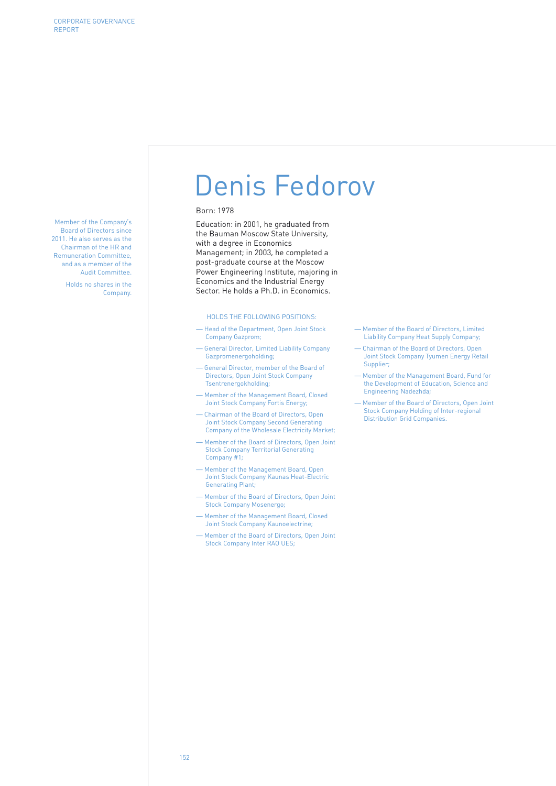Member of the Company's Board of Directors since 2011. He also serves as the Chairman of the HR and Remuneration Committee, and as a member of the Audit Committee.

> Holds no shares in the Company.

# Denis Fedorov

### Born: 1978

Education: in 2001, he graduated from the Bauman Moscow State University, with a degree in Economics Management; in 2003, he completed a post-graduate course at the Moscow Power Engineering Institute, majoring in Economics and the Industrial Energy Sector. He holds a Ph.D. in Economics.

#### HOLDS THE FOLLOWING POSITIONS:

- Head of the Department, Open Joint Stock Company Gazprom;
- General Director, Limited Liability Company Gazpromenergoholding;
- General Director, member of the Board of Directors, Open Joint Stock Company Tsentrenergokholding;
- Member of the Management Board, Closed Joint Stock Company Fortis Energy;
- Chairman of the Board of Directors, Open Joint Stock Company Second Generating Company of the Wholesale Electricity Market;
- Member of the Board of Directors, Open Joint Stock Company Territorial Generating Company #1;
- Member of the Management Board, Open Joint Stock Company Kaunas Heat-Electric Generating Plant;
- Member of the Board of Directors, Open Joint Stock Company Mosenergo;
- Member of the Management Board, Closed Joint Stock Company Kaunoelectrine;
- Member of the Board of Directors, Open Joint Stock Company Inter RAO UES;
- Member of the Board of Directors, Limited Liability Company Heat Supply Company;
- Chairman of the Board of Directors, Open Joint Stock Company Tyumen Energy Retail Supplier;
- Member of the Management Board, Fund for the Development of Education, Science and Engineering Nadezhda;
- Member of the Board of Directors, Open Joint Stock Company Holding of Inter-regional Distribution Grid Companies.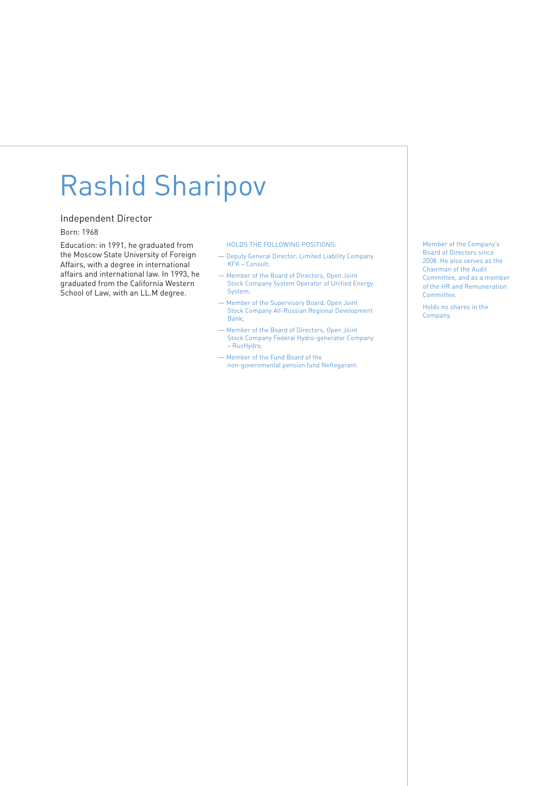# Rashid Sharipov

### Independent Director

### Born: 1968

Education: in 1991, he graduated from the Moscow State University of Foreign Affairs, with a degree in international affairs and international law. In 1993, he graduated from the California Western School of Law, with an LL.M degree.

#### HOLDS THE FOLLOWING POSITIONS:

- Deputy General Director, Limited Liability Company KFK – Consult;
- Member of the Board of Directors, Open Joint Stock Company System Operator of Unified Energy System;
- Member of the Supervisory Board, Open Joint Stock Company All-Russian Regional Development Bank;
- Member of the Board of Directors, Open Joint Stock Company Federal Hydro-generator Company – RusHydro;
- Member of the Fund Board of the non-governmental pension fund Neftegarant.

Member of the Company's Board of Directors since 2008. He also serves as the Chairman of the Audit Committee, and as a member of the HR and Remuneration Committee.

Holds no shares in the Company.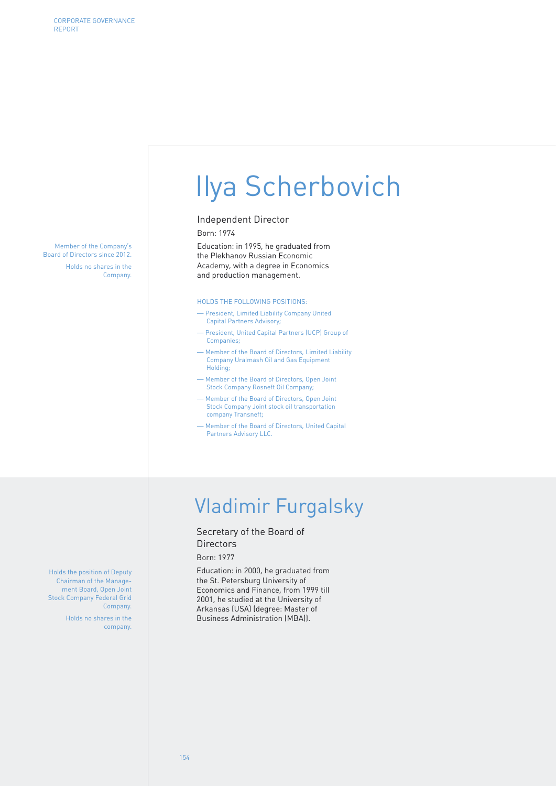Member of the Company's Board of Directors since 2012. Holds no shares in the Company.

Ilya Scherbovich

### Independent Director

Born: 1974

Education: in 1995, he graduated from the Plekhanov Russian Economic Academy, with a degree in Economics and production management.

#### HOLDS THE FOLLOWING POSITIONS:

- President, Limited Liability Company United Capital Partners Advisory;
- President, United Capital Partners (UCP) Group of Companies;
- Member of the Board of Directors, Limited Liability Company Uralmash Oil and Gas Equipment Holding;
- Member of the Board of Directors, Open Joint Stock Company Rosneft Oil Company;
- Member of the Board of Directors, Open Joint Stock Company Joint stock oil transportation company Transneft;
- Member of the Board of Directors, United Capital Partners Advisory LLC.

# Vladimir Furgalsky

## Secretary of the Board of **Directors**

### Born: 1977

Education: in 2000, he graduated from the St. Petersburg University of Economics and Finance, from 1999 till 2001, he studied at the University of Arkansas (USA) (degree: Master of Business Administration (MBA)).

Holds the position of Deputy Chairman of the Management Board, Open Joint Stock Company Federal Grid Company.

> Holds no shares in the company.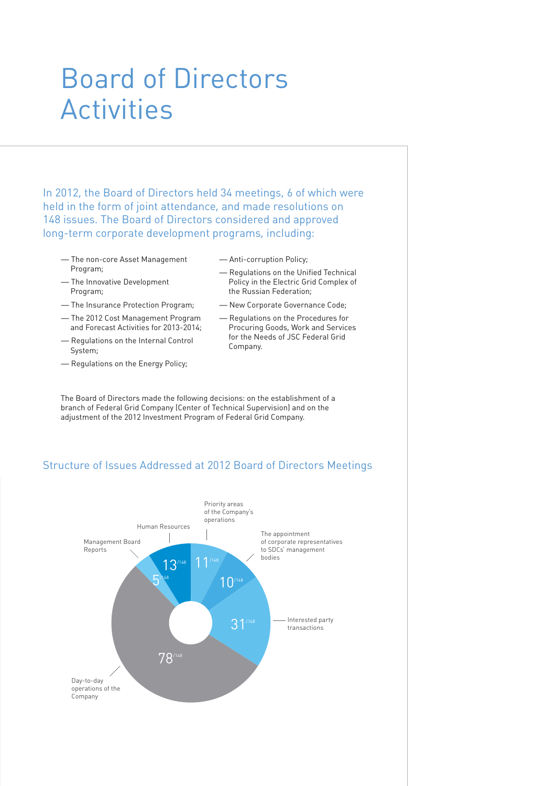# Board of Directors Activities

In 2012, the Board of Directors held 34 meetings, 6 of which were held in the form of joint attendance, and made resolutions on 148 issues. The Board of Directors considered and approved long-term corporate development programs, including:

- The non-core Asset Management Program;
- The Innovative Development Program;
- The Insurance Protection Program;
- The 2012 Cost Management Program and Forecast Activities for 2013-2014;
- Regulations on the Internal Control System;
- Regulations on the Energy Policy;
- Anti-corruption Policy;
- Regulations on the Unified Technical Policy in the Electric Grid Complex of the Russian Federation;
- New Corporate Governance Code;
- Regulations on the Procedures for Procuring Goods, Work and Services for the Needs of JSC Federal Grid Company.

The Board of Directors made the following decisions: on the establishment of a branch of Federal Grid Company (Center of Technical Supervision) and on the adjustment of the 2012 Investment Program of Federal Grid Company.

## Structure of Issues Addressed at 2012 Board of Directors Meetings

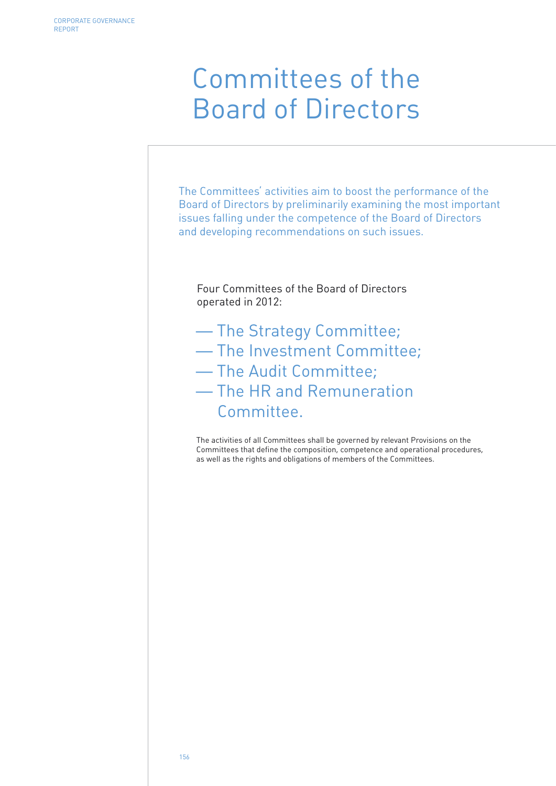# Committees of the Board of Directors

The Committees' activities aim to boost the performance of the Board of Directors by preliminarily examining the most important issues falling under the competence of the Board of Directors and developing recommendations on such issues.

Four Committees of the Board of Directors operated in 2012:

- The Strategy Committee; — The Investment Committee; — The Audit Committee;
- 
- The HR and Remuneration Committee.

The activities of all Committees shall be governed by relevant Provisions on the Committees that define the composition, competence and operational procedures, as well as the rights and obligations of members of the Committees.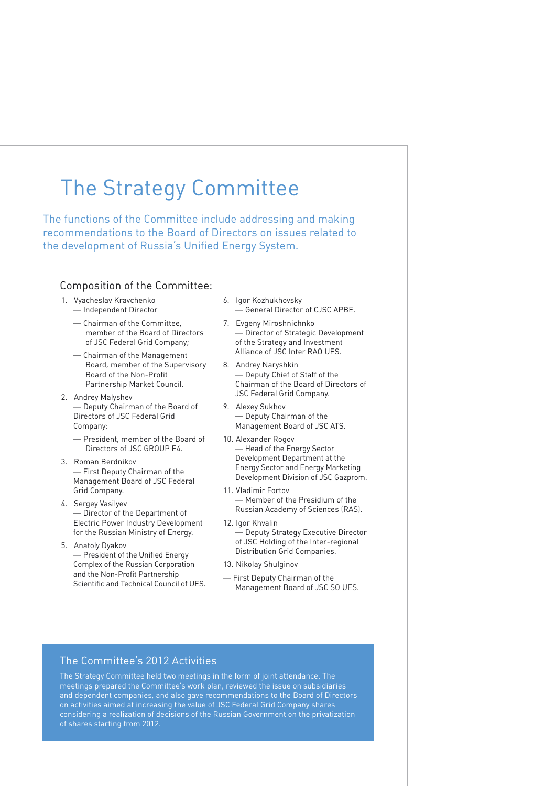# The Strategy Committee

The functions of the Committee include addressing and making recommendations to the Board of Directors on issues related to the development of Russia's Unified Energy System.

## Composition of the Committee:

- 1. Vyacheslav Kravchenko — Independent Director
	- Chairman of the Committee, member of the Board of Directors of JSC Federal Grid Company;
	- Chairman of the Management Board, member of the Supervisory Board of the Non-Profit Partnership Market Council.
- 2. Andrey Malyshev — Deputy Chairman of the Board of Directors of JSC Federal Grid Company;
	- President, member of the Board of Directors of JSC GROUP E4.
- 3. Roman Berdnikov — First Deputy Chairman of the Management Board of JSC Federal Grid Company.
- 4. Sergey Vasilyev — Director of the Department of Electric Power Industry Development for the Russian Ministry of Energy.
- 5. Anatoly Dyakov — President of the Unified Energy Complex of the Russian Corporation and the Non-Profit Partnership Scientific and Technical Council of UES.
- 6. Igor Kozhukhovsky — General Director of CJSC APBE.
- 7. Evgeny Miroshnichnko — Director of Strategic Development of the Strategy and Investment Alliance of JSC Inter RAO UES.
- 8. Andrey Naryshkin — Deputy Chief of Staff of the Chairman of the Board of Directors of JSC Federal Grid Company.
- 9. Alexey Sukhov — Deputy Chairman of the Management Board of JSC ATS.
- 10. Alexander Rogov — Head of the Energy Sector Development Department at the Energy Sector and Energy Marketing Development Division of JSC Gazprom.
- 11. Vladimir Fortov — Member of the Presidium of the Russian Academy of Sciences (RAS).
- 12. Igor Khvalin — Deputy Strategy Executive Director of JSC Holding of the Inter-regional Distribution Grid Companies.
- 13. Nikolay Shulginov
- First Deputy Chairman of the Management Board of JSC SO UES.

## The Committee's 2012 Activities

The Strategy Committee held two meetings in the form of joint attendance. The meetings prepared the Committee's work plan, reviewed the issue on subsidiaries and dependent companies, and also gave recommendations to the Board of Directors on activities aimed at increasing the value of JSC Federal Grid Company shares considering a realization of decisions of the Russian Government on the privatization of shares starting from 2012.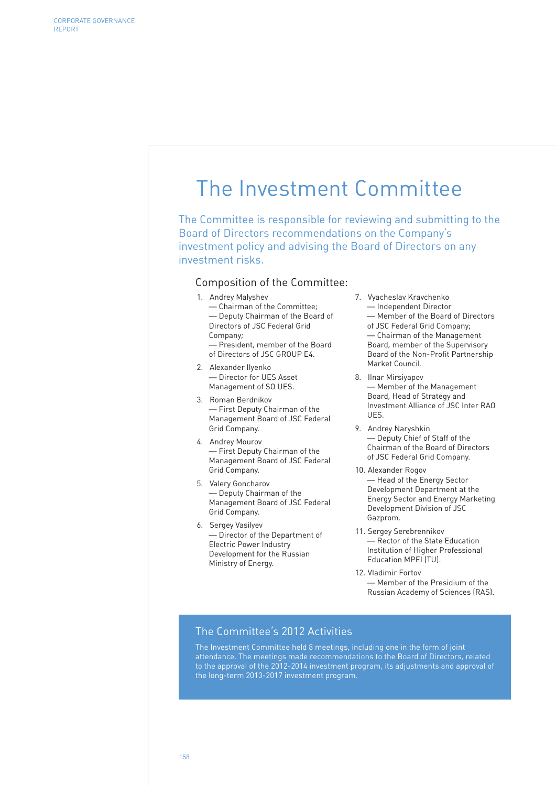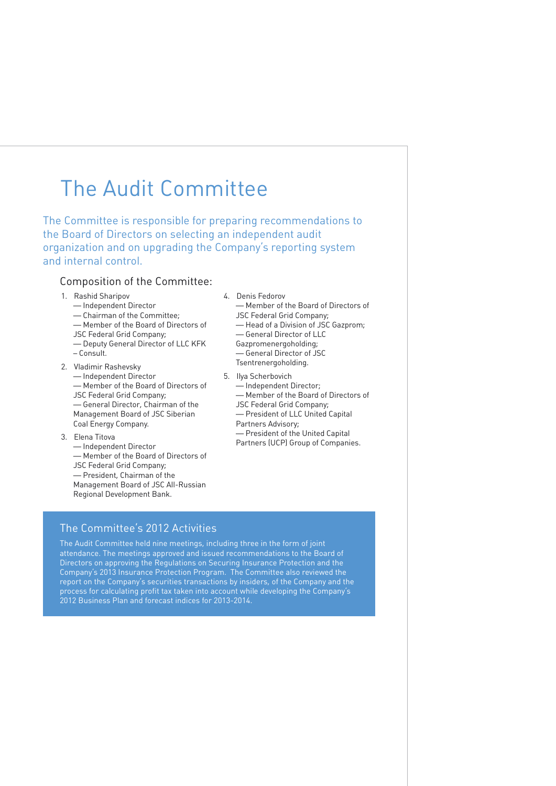# The Audit Committee

The Committee is responsible for preparing recommendations to the Board of Directors on selecting an independent audit organization and on upgrading the Company's reporting system and internal control.

## Composition of the Committee:

- 1. Rashid Sharipov
	- Independent Director — Chairman of the Committee; — Member of the Board of Directors of JSC Federal Grid Company; — Deputy General Director of LLC KFK
- Consult. 2. Vladimir Rashevsky — Independent Director — Member of the Board of Directors of
	- JSC Federal Grid Company; — General Director, Chairman of the Management Board of JSC Siberian Coal Energy Company.
- 3. Elena Titova
	- Independent Director — Member of the Board of Directors of JSC Federal Grid Company; — President, Chairman of the Management Board of JSC All-Russian Regional Development Bank.
- 4. Denis Fedorov — Member of the Board of Directors of JSC Federal Grid Company; — Head of a Division of JSC Gazprom; — General Director of LLC Gazpromenergoholding; — General Director of JSC Tsentrenergoholding.
- 5. Ilya Scherbovich — Independent Director; — Member of the Board of Directors of JSC Federal Grid Company; — President of LLC United Capital Partners Advisory; — President of the United Capital Partners (UCP) Group of Companies.
- The Committee's 2012 Activities

The Audit Committee held nine meetings, including three in the form of joint attendance. The meetings approved and issued recommendations to the Board of Directors on approving the Regulations on Securing Insurance Protection and the Company's 2013 Insurance Protection Program. The Committee also reviewed the report on the Company's securities transactions by insiders, of the Company and the process for calculating profit tax taken into account while developing the Company's 2012 Business Plan and forecast indices for 2013-2014.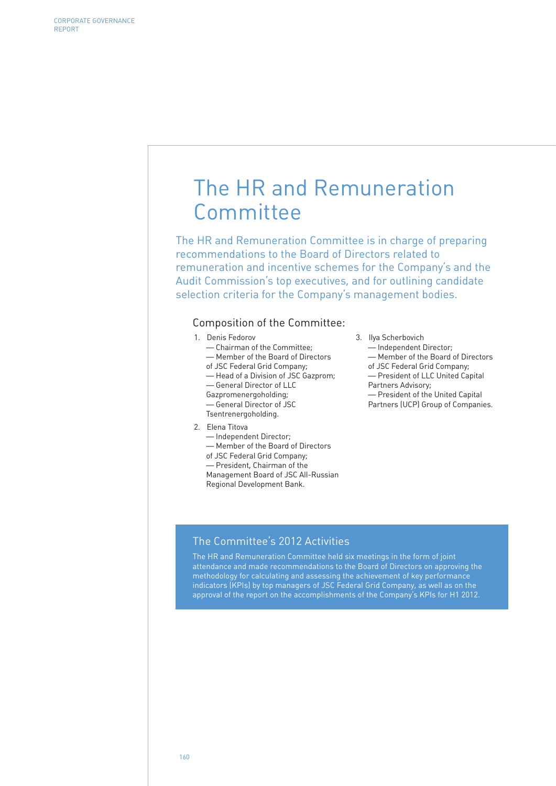# The HR and Remuneration Committee

The HR and Remuneration Committee is in charge of preparing recommendations to the Board of Directors related to remuneration and incentive schemes for the Company's and the Audit Commission's top executives, and for outlining candidate selection criteria for the Company's management bodies.

### Composition of the Committee:

- 1. Denis Fedorov
	- Chairman of the Committee;
	- Member of the Board of Directors
	- of JSC Federal Grid Company;
	- Head of a Division of JSC Gazprom;
	- General Director of LLC
	- Gazpromenergoholding;
	- General Director of JSC
	- Tsentrenergoholding.
- 2. Elena Titova
	- Independent Director;
	- Member of the Board of Directors
	- of JSC Federal Grid Company;

— President, Chairman of the Management Board of JSC All-Russian Regional Development Bank.

- 3. Ilya Scherbovich
	- Independent Director; — Member of the Board of Directors of JSC Federal Grid Company; — President of LLC United Capital Partners Advisory; — President of the United Capital Partners (UCP) Group of Companies.

## The Committee's 2012 Activities

The HR and Remuneration Committee held six meetings in the form of joint attendance and made recommendations to the Board of Directors on approving the methodology for calculating and assessing the achievement of key performance indicators (KPIs) by top managers of JSC Federal Grid Company, as well as on the approval of the report on the accomplishments of the Company's KPIs for H1 2012.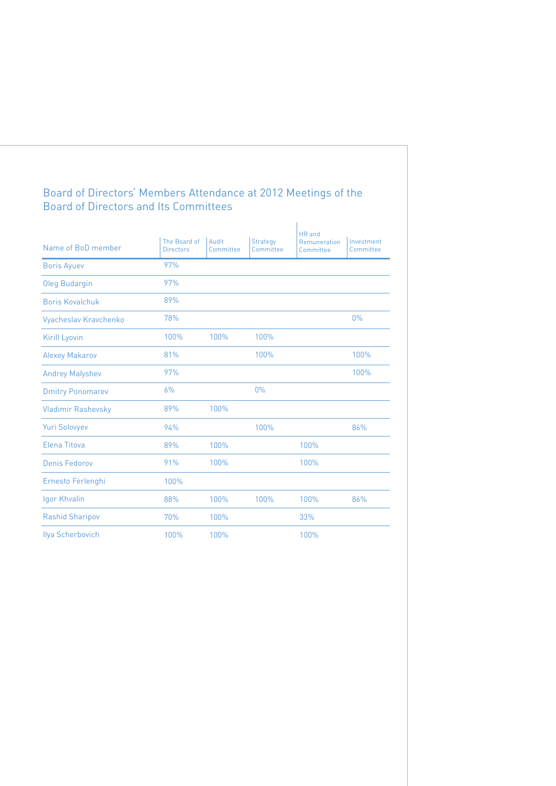## Board of Directors' Members Attendance at 2012 Meetings of the Board of Directors and Its Committees

| Name of BoD member        | The Board of<br><b>Directors</b> | Audit<br>Committee | <b>Strategy</b><br>Committee | HR and<br>Remuneration<br>Committee | Investment<br>Committee |
|---------------------------|----------------------------------|--------------------|------------------------------|-------------------------------------|-------------------------|
| <b>Boris Ayuev</b>        | 97%                              |                    |                              |                                     |                         |
| <b>Oleg Budargin</b>      | 97%                              |                    |                              |                                     |                         |
| <b>Boris Kovalchuk</b>    | 89%                              |                    |                              |                                     |                         |
| Vyacheslav Kravchenko     | 78%                              |                    |                              |                                     | $0\%$                   |
| Kirill Lyovin             | 100%                             | 100%               | 100%                         |                                     |                         |
| <b>Alexey Makarov</b>     | 81%                              |                    | 100%                         |                                     | 100%                    |
| <b>Andrey Malyshev</b>    | 97%                              |                    |                              |                                     | 100%                    |
| <b>Dmitry Ponomarev</b>   | 6%                               |                    | 0%                           |                                     |                         |
| <b>Vladimir Rashevsky</b> | 89%                              | 100%               |                              |                                     |                         |
| <b>Yuri Solovyev</b>      | 94%                              |                    | 100%                         |                                     | 86%                     |
| Elena Titova              | 89%                              | 100%               |                              | 100%                                |                         |
| Denis Fedorov             | 91%                              | 100%               |                              | 100%                                |                         |
| Ernesto Ferlenghi         | 100%                             |                    |                              |                                     |                         |
| Igor Khvalin              | 88%                              | 100%               | 100%                         | 100%                                | 86%                     |
| <b>Rashid Sharipov</b>    | 70%                              | 100%               |                              | 33%                                 |                         |
| <b>Ilya Scherbovich</b>   | 100%                             | 100%               |                              | 100%                                |                         |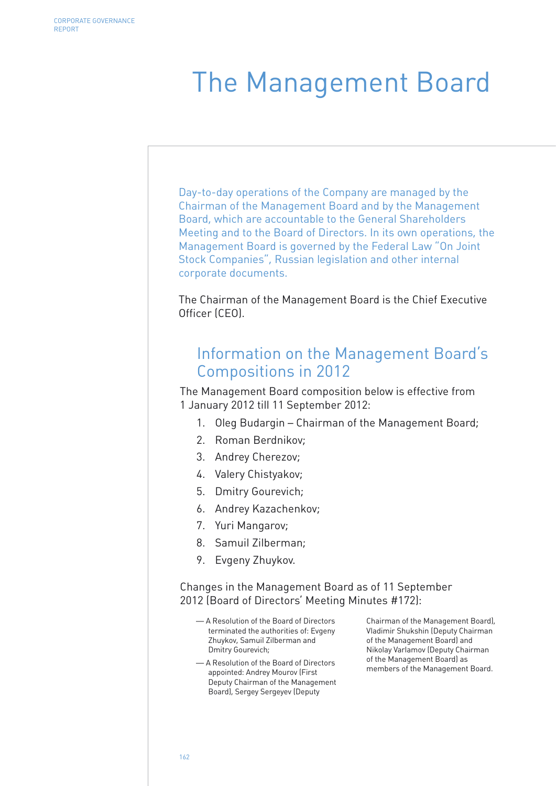# The Management Board

Day-to-day operations of the Company are managed by the Chairman of the Management Board and by the Management Board, which are accountable to the General Shareholders Meeting and to the Board of Directors. In its own operations, the Management Board is governed by the Federal Law "On Joint Stock Companies", Russian legislation and other internal corporate documents.

The Chairman of the Management Board is the Chief Executive Officer (CEO).

## Information on the Management Board's Compositions in 2012

The Management Board composition below is effective from 1 January 2012 till 11 September 2012:

- 1. Oleg Budargin Chairman of the Management Board;
- 2. Roman Berdnikov;
- 3. Andrey Cherezov;
- 4. Valery Chistyakov;
- 5. Dmitry Gourevich;
- 6. Andrey Kazachenkov;
- 7. Yuri Mangarov;
- 8. Samuil Zilberman;
- 9. Evgeny Zhuykov.

Changes in the Management Board as of 11 September 2012 (Board of Directors' Meeting Minutes #172):

- A Resolution of the Board of Directors terminated the authorities of: Evgeny Zhuykov, Samuil Zilberman and Dmitry Gourevich;
- A Resolution of the Board of Directors appointed: Andrey Mourov (First Deputy Chairman of the Management Board), Sergey Sergeyev (Deputy

Chairman of the Management Board), Vladimir Shukshin (Deputy Chairman of the Management Board) and Nikolay Varlamov (Deputy Chairman of the Management Board) as members of the Management Board.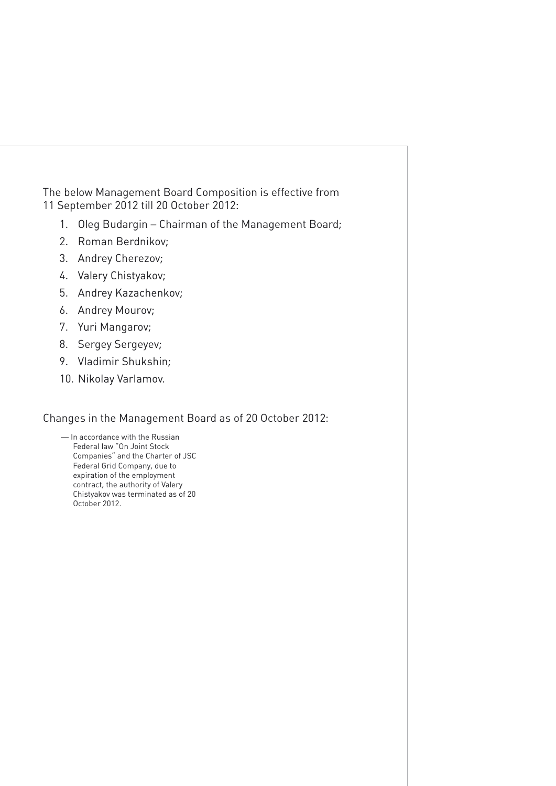The below Management Board Composition is effective from 11 September 2012 till 20 October 2012:

- 1. Oleg Budargin Chairman of the Management Board;
- 2. Roman Berdnikov;
- 3. Andrey Cherezov;
- 4. Valery Chistyakov;
- 5. Andrey Kazachenkov;
- 6. Andrey Mourov;
- 7. Yuri Mangarov;
- 8. Sergey Sergeyev;
- 9. Vladimir Shukshin;
- 10. Nikolay Varlamov.

## Changes in the Management Board as of 20 October 2012:

— In accordance with the Russian Federal law "On Joint Stock Companies" and the Charter of JSC Federal Grid Company, due to expiration of the employment contract, the authority of Valery Chistyakov was terminated as of 20 October 2012.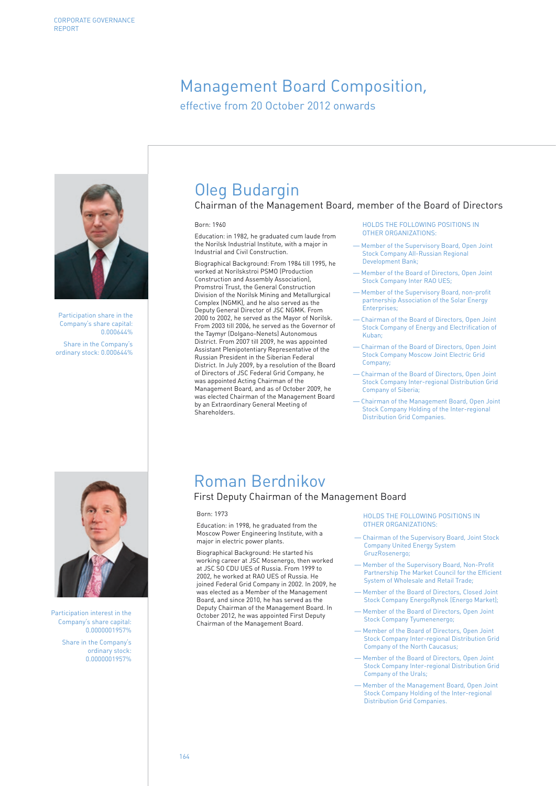# Management Board Composition,

effective from 20 October 2012 onwards



Particination share in the Company's share capital: 0.000644% Share in the Company's

ordinary stock: 0.000644%

# Oleg Budargin

Chairman of the Management Board, member of the Board of Directors

#### Born: 1960

Education: in 1982, he graduated cum laude from the Norilsk Industrial Institute, with a major in Industrial and Civil Construction.

Biographical Background: From 1984 till 1995, he worked at Norilskstroi PSMO (Production Construction and Assembly Association), Promstroi Trust, the General Construction Division of the Norilsk Mining and Metallurgical Complex (NGMK), and he also served as the Deputy General Director of JSC NGMK. From 2000 to 2002, he served as the Mayor of Norilsk. From 2003 till 2006, he served as the Governor of the Taymyr (Dolgano-Nenets) Autonomous District. From 2007 till 2009, he was appointed Assistant Plenipotentiary Representative of the Russian President in the Siberian Federal District. In July 2009, by a resolution of the Board of Directors of JSC Federal Grid Company, he was appointed Acting Chairman of the Management Board, and as of October 2009, he was elected Chairman of the Management Board by an Extraordinary General Meeting of **Shareholders** 

#### HOLDS THE FOLLOWING POSITIONS IN OTHER ORGANIZATIONS:

- Member of the Supervisory Board, Open Joint Stock Company All-Russian Regional Development Bank;
- Member of the Board of Directors, Open Joint Stock Company Inter RAO UES;
- Member of the Supervisory Board, non-profit partnership Association of the Solar Energy Enterprises:
- Chairman of the Board of Directors, Open Joint Stock Company of Energy and Electrification of Kuban;
- Chairman of the Board of Directors, Open Joint Stock Company Moscow Joint Electric Grid Company;
- Chairman of the Board of Directors, Open Joint Stock Company Inter-regional Distribution Grid Company of Siberia;
- Chairman of the Management Board, Open Joint Stock Company Holding of the Inter-regional Distribution Grid Companies.

Participation interest in the Company's share capital: 0.0000001957%

> Share in the Company's ordinary stock: 0.0000001957%

# Roman Berdnikov

## First Deputy Chairman of the Management Board

#### Born: 1973

Education: in 1998, he graduated from the Moscow Power Engineering Institute, with a major in electric power plants.

Biographical Background: He started his working career at JSC Mosenergo, then worked at JSC SO CDU UES of Russia. From 1999 to 2002, he worked at RAO UES of Russia. He joined Federal Grid Company in 2002. In 2009, he was elected as a Member of the Management Board, and since 2010, he has served as the Deputy Chairman of the Management Board. In October 2012, he was appointed First Deputy Chairman of the Management Board.

HOLDS THE FOLLOWING POSITIONS IN OTHER ORGANIZATIONS:

- Chairman of the Supervisory Board, Joint Stock Company United Energy System GruzRosenergo;
- Member of the Supervisory Board, Non-Profit Partnership The Market Council for the Efficient System of Wholesale and Retail Trade;
- Member of the Board of Directors, Closed Joint Stock Company EnergoRynok (Energo Market);
- Member of the Board of Directors, Open Joint Stock Company Tyumenenergo;
- Member of the Board of Directors, Open Joint Stock Company Inter-regional Distribution Grid Company of the North Caucasus;
- Member of the Board of Directors, Open Joint Stock Company Inter-regional Distribution Grid Company of the Urals;
- Member of the Management Board, Open Joint Stock Company Holding of the Inter-regional Distribution Grid Companies.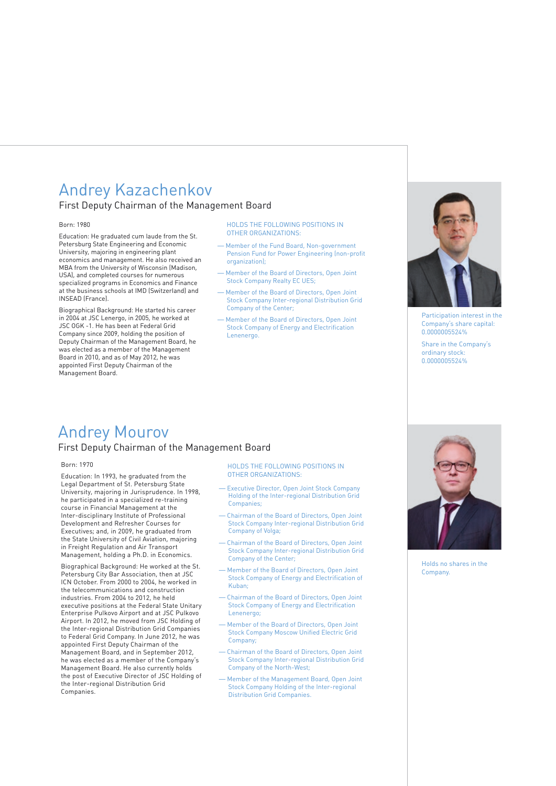# Andrey Kazachenkov

First Deputy Chairman of the Management Board

#### Born: 1980

Education: He graduated cum laude from the St. Petersburg State Engineering and Economic University, majoring in engineering plant economics and management. He also received an MBA from the University of Wisconsin (Madison, USA), and completed courses for numerous specialized programs in Economics and Finance at the business schools at IMD (Switzerland) and INSEAD (France).

Biographical Background: He started his career in 2004 at JSC Lenergo, in 2005, he worked at JSC OGK -1. He has been at Federal Grid Company since 2009, holding the position of Deputy Chairman of the Management Board, he was elected as a member of the Management Board in 2010, and as of May 2012, he was appointed First Deputy Chairman of the Management Board.

HOLDS THE FOLLOWING POSITIONS IN OTHER ORGANIZATIONS:

- Member of the Fund Board, Non-government Pension Fund for Power Engineering (non-profit organization);
- Member of the Board of Directors, Open Joint Stock Company Realty EC UES;
- Member of the Board of Directors, Open Joint Stock Company Inter-regional Distribution Grid Company of the Center;
- Member of the Board of Directors, Open Joint Stock Company of Energy and Electrification Lenenergo.

# Andrey Mourov

## First Deputy Chairman of the Management Board

#### Born: 1970

Education: In 1993, he graduated from the Legal Department of St. Petersburg State University, majoring in Jurisprudence. In 1998, he participated in a specialized re-training course in Financial Management at the Inter-disciplinary Institute of Professional Development and Refresher Courses for Executives; and, in 2009, he graduated from the State University of Civil Aviation, majoring in Freight Regulation and Air Transport Management, holding a Ph.D. in Economics.

Biographical Background: He worked at the St. Petersburg City Bar Association, then at JSC ICN October. From 2000 to 2004, he worked in the telecommunications and construction industries. From 2004 to 2012, he held executive positions at the Federal State Unitary Enterprise Pulkovo Airport and at JSC Pulkovo Airport. In 2012, he moved from JSC Holding of the Inter-regional Distribution Grid Companies to Federal Grid Company. In June 2012, he was appointed First Deputy Chairman of the Management Board, and in September 2012, he was elected as a member of the Company's Management Board. He also currently holds the post of Executive Director of JSC Holding of the Inter-regional Distribution Grid Companies.

HOLDS THE FOLLOWING POSITIONS IN OTHER ORGANIZATIONS:

- Executive Director, Open Joint Stock Company Holding of the Inter-regional Distribution Grid Companies;
- Chairman of the Board of Directors, Open Joint Stock Company Inter-regional Distribution Grid Company of Volga;
- Chairman of the Board of Directors, Open Joint Stock Company Inter-regional Distribution Grid Company of the Center;
- Member of the Board of Directors, Open Joint Stock Company of Energy and Electrification of Kuban;
- Chairman of the Board of Directors, Open Joint Stock Company of Energy and Electrification Lenenergo;
- Member of the Board of Directors, Open Joint Stock Company Moscow Unified Electric Grid Company;
- Chairman of the Board of Directors, Open Joint Stock Company Inter-regional Distribution Grid Company of the North-West;
- Member of the Management Board, Open Joint Stock Company Holding of the Inter-regional Distribution Grid Companies.



Company's share capital: 0.0000005524%

Share in the Company's ordinary stock: 0.0000005524%



Holds no shares in the Company.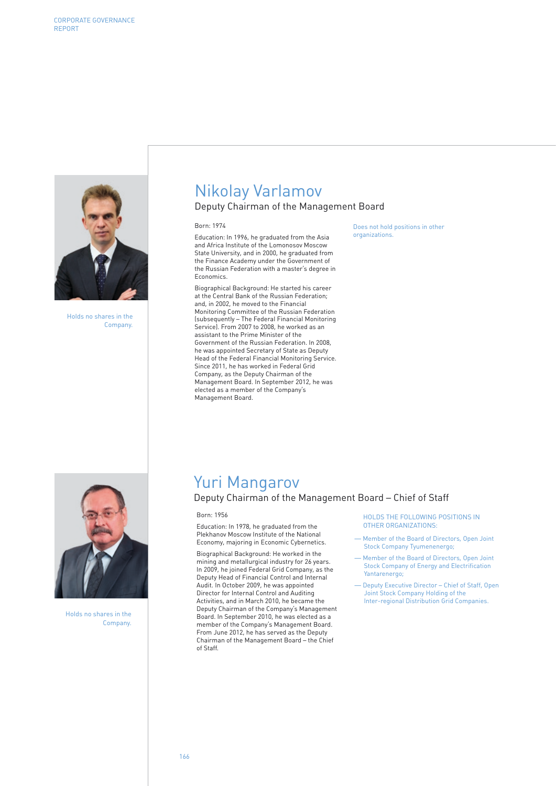

Holds no shares in the Company.

# Nikolay Varlamov

### Deputy Chairman of the Management Board

#### Born: 1974

Education: In 1996, he graduated from the Asia and Africa Institute of the Lomonosov Moscow State University, and in 2000, he graduated from the Finance Academy under the Government of the Russian Federation with a master's degree in Economics.

Biographical Background: He started his career at the Central Bank of the Russian Federation; and, in 2002, he moved to the Financial Monitoring Committee of the Russian Federation (subsequently – The Federal Financial Monitoring Service). From 2007 to 2008, he worked as an assistant to the Prime Minister of the Government of the Russian Federation. In 2008, he was appointed Secretary of State as Deputy Head of the Federal Financial Monitoring Service. Since 2011, he has worked in Federal Grid Company, as the Deputy Chairman of the Management Board. In September 2012, he was elected as a member of the Company's Management Board.

Does not hold positions in other organizations.



Holds no shares in the Company.

# Yuri Mangarov

## Deputy Chairman of the Management Board – Chief of Staff

Born: 1956

Education: In 1978, he graduated from the Plekhanov Moscow Institute of the National Economy, majoring in Economic Cybernetics.

Biographical Background: He worked in the mining and metallurgical industry for 26 years. In 2009, he joined Federal Grid Company, as the Deputy Head of Financial Control and Internal Audit. In October 2009, he was appointed Director for Internal Control and Auditing Activities, and in March 2010, he became the Deputy Chairman of the Company's Management Board. In September 2010, he was elected as a member of the Company's Management Board. From June 2012, he has served as the Deputy Chairman of the Management Board – the Chief of Staff.

HOLDS THE FOLLOWING POSITIONS IN OTHER ORGANIZATIONS:

- Member of the Board of Directors, Open Joint Stock Company Tyumenenergo;
- Member of the Board of Directors, Open Joint Stock Company of Energy and Electrification Yantarenergo;
- Deputy Executive Director Chief of Staff, Open Joint Stock Company Holding of the Inter-regional Distribution Grid Companies.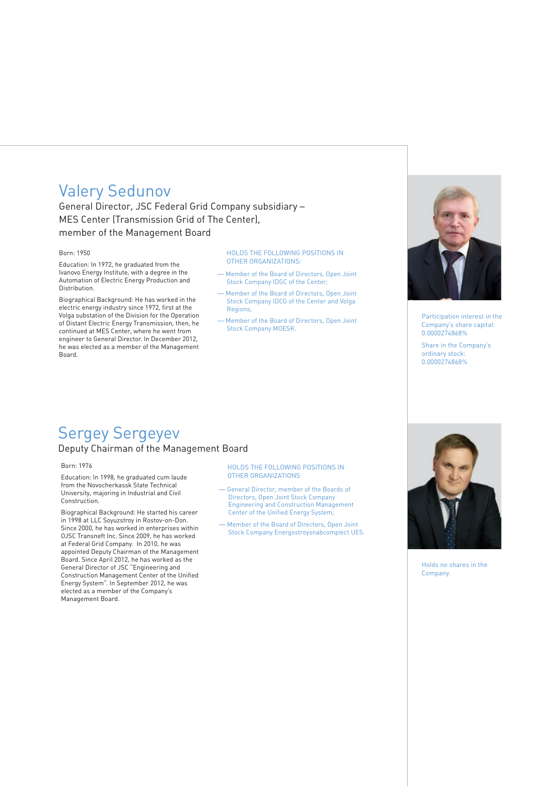## Valery Sedunov

General Director, JSC Federal Grid Company subsidiary – MES Center (Transmission Grid of The Center), member of the Management Board

#### Born: 1950

Education: In 1972, he graduated from the Ivanovo Energy Institute, with a degree in the Automation of Electric Energy Production and Distribution.

Biographical Background: He has worked in the electric energy industry since 1972, first at the Volga substation of the Division for the Operation of Distant Electric Energy Transmission, then, he continued at MES Center, where he went from engineer to General Director. In December 2012, he was elected as a member of the Management Board.

#### HOLDS THE FOLLOWING POSITIONS IN OTHER ORGANIZATIONS:

- Member of the Board of Directors, Open Joint Stock Company IDGC of the Center;
- Member of the Board of Directors, Open Joint Stock Company IDCG of the Center and Volga Regions;
- Member of the Board of Directors, Open Joint Stock Company MOESK.



Participation interest in the Company's share capital: 0.0000274868%

Share in the Company's ordinary stock: 0.0000274868%

## Sergey Sergeyev Deputy Chairman of the Management Board

#### Born: 1976

Education: In 1998, he graduated cum laude from the Novocherkassk State Technical University, majoring in Industrial and Civil Construction.

Biographical Background: He started his career in 1998 at LLC Soyuzstroy in Rostov-on-Don. Since 2000, he has worked in enterprises within OJSC Transneft Inc. Since 2009, he has worked at Federal Grid Company. In 2010, he was appointed Deputy Chairman of the Management Board. Since April 2012, he has worked as the General Director of JSC "Engineering and Construction Management Center of the Unified Energy System". In September 2012, he was elected as a member of the Company's Management Board.

HOLDS THE FOLLOWING POSITIONS IN OTHER ORGANIZATIONS

- General Director, member of the Boards of Directors, Open Joint Stock Company Engineering and Construction Management Center of the Unified Energy System;
- Member of the Board of Directors, Open Joint Stock Company Energostroysnabcomplect UES.



Holds no shares in the Company.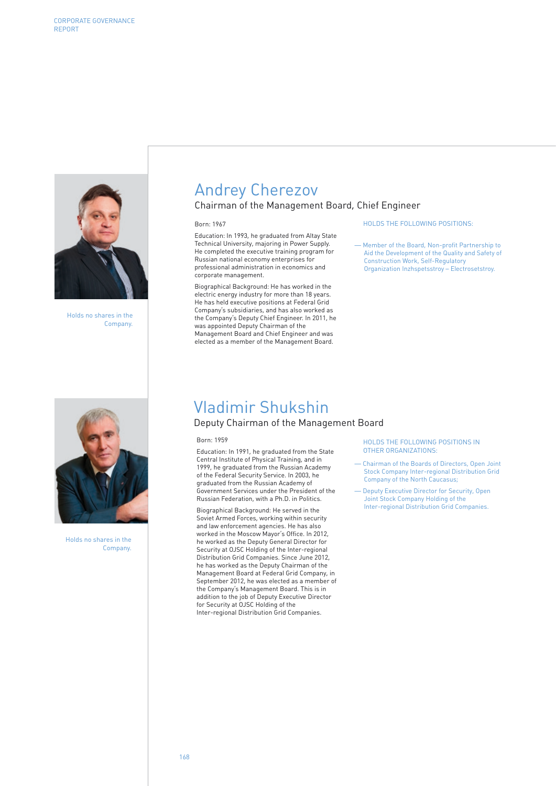

Holds no shares in the Company.

![](_page_24_Picture_3.jpeg)

Holds no shares in the Company.

# Andrey Cherezov

## Chairman of the Management Board, Chief Engineer

#### Born: 1967

Education: In 1993, he graduated from Altay State Technical University, majoring in Power Supply. He completed the executive training program for Russian national economy enterprises for professional administration in economics and corporate management.

Biographical Background: He has worked in the electric energy industry for more than 18 years. He has held executive positions at Federal Grid Company's subsidiaries, and has also worked as the Company's Deputy Chief Engineer. In 2011, he was appointed Deputy Chairman of the Management Board and Chief Engineer and was elected as a member of the Management Board.

#### HOLDS THE FOLLOWING POSITIONS:

— Member of the Board, Non-profit Partnership to Aid the Development of the Quality and Safety of Construction Work, Self-Regulatory Organization Inzhspetsstroy – Electrosetstroy.

## Vladimir Shukshin

## Deputy Chairman of the Management Board

#### Born: 1959

Education: In 1991, he graduated from the State Central Institute of Physical Training, and in 1999, he graduated from the Russian Academy of the Federal Security Service. In 2003, he graduated from the Russian Academy of Government Services under the President of the Russian Federation, with a Ph.D. in Politics.

Biographical Background: He served in the Soviet Armed Forces, working within security and law enforcement agencies. He has also worked in the Moscow Mayor's Office. In 2012, he worked as the Deputy General Director for Security at OJSC Holding of the Inter-regional Distribution Grid Companies. Since June 2012, he has worked as the Deputy Chairman of the Management Board at Federal Grid Company, in September 2012, he was elected as a member of the Company's Management Board. This is in addition to the job of Deputy Executive Director for Security at OJSC Holding of the Inter-regional Distribution Grid Companies.

HOLDS THE FOLLOWING POSITIONS IN OTHER ORGANIZATIONS:

- Chairman of the Boards of Directors, Open Joint Stock Company Inter-regional Distribution Grid Company of the North Caucasus;
- Deputy Executive Director for Security, Open Joint Stock Company Holding of the Inter-regional Distribution Grid Companies.